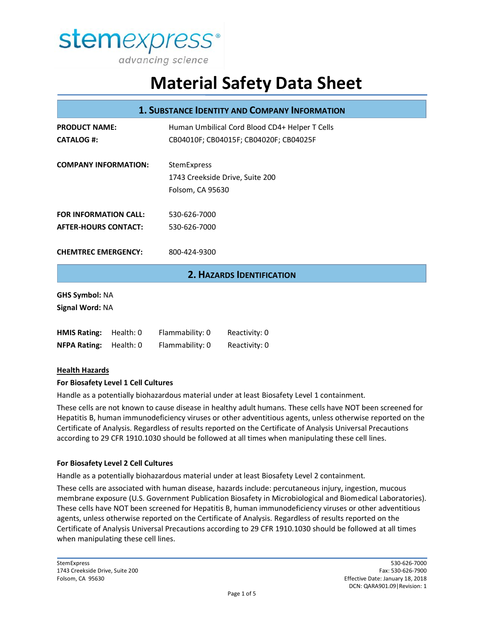

| <b>1. SUBSTANCE IDENTITY AND COMPANY INFORMATION</b> |           |                                                |                                  |  |
|------------------------------------------------------|-----------|------------------------------------------------|----------------------------------|--|
| <b>PRODUCT NAME:</b>                                 |           | Human Umbilical Cord Blood CD4+ Helper T Cells |                                  |  |
| <b>CATALOG #:</b>                                    |           | CB04010F; CB04015F; CB04020F; CB04025F         |                                  |  |
| <b>COMPANY INFORMATION:</b>                          |           | StemExpress                                    |                                  |  |
|                                                      |           | 1743 Creekside Drive, Suite 200                |                                  |  |
|                                                      |           | Folsom, CA 95630                               |                                  |  |
| <b>FOR INFORMATION CALL:</b>                         |           | 530-626-7000                                   |                                  |  |
| <b>AFTER-HOURS CONTACT:</b>                          |           | 530-626-7000                                   |                                  |  |
| <b>CHEMTREC EMERGENCY:</b>                           |           | 800-424-9300                                   |                                  |  |
|                                                      |           |                                                | <b>2. HAZARDS IDENTIFICATION</b> |  |
| <b>GHS Symbol: NA</b>                                |           |                                                |                                  |  |
| Signal Word: NA                                      |           |                                                |                                  |  |
| <b>HMIS Rating:</b>                                  | Health: 0 | Flammability: 0                                | Reactivity: 0                    |  |
| <b>NFPA Rating:</b>                                  | Health: 0 | Flammability: 0                                | Reactivity: 0                    |  |
| .                                                    |           |                                                |                                  |  |

#### **Health Hazards**

#### **For Biosafety Level 1 Cell Cultures**

Handle as a potentially biohazardous material under at least Biosafety Level 1 containment.

These cells are not known to cause disease in healthy adult humans. These cells have NOT been screened for Hepatitis B, human immunodeficiency viruses or other adventitious agents, unless otherwise reported on the Certificate of Analysis. Regardless of results reported on the Certificate of Analysis Universal Precautions according to 29 CFR 1910.1030 should be followed at all times when manipulating these cell lines.

#### **For Biosafety Level 2 Cell Cultures**

Handle as a potentially biohazardous material under at least Biosafety Level 2 containment.

These cells are associated with human disease, hazards include: percutaneous injury, ingestion, mucous membrane exposure (U.S. Government Publication Biosafety in Microbiological and Biomedical Laboratories). These cells have NOT been screened for Hepatitis B, human immunodeficiency viruses or other adventitious agents, unless otherwise reported on the Certificate of Analysis. Regardless of results reported on the Certificate of Analysis Universal Precautions according to 29 CFR 1910.1030 should be followed at all times when manipulating these cell lines.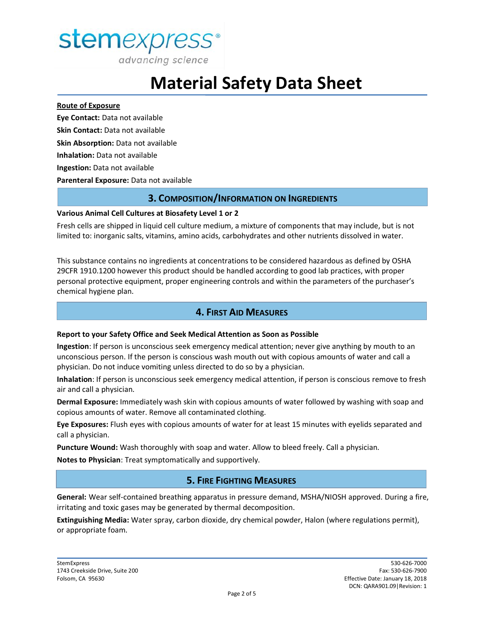

advancing science

## **Material Safety Data Sheet**

#### **Route of Exposure**

**Eye Contact:** Data not available **Skin Contact:** Data not available **Skin Absorption:** Data not available **Inhalation:** Data not available **Ingestion:** Data not available **Parenteral Exposure:** Data not available

### **3. COMPOSITION/INFORMATION ON INGREDIENTS**

#### **Various Animal Cell Cultures at Biosafety Level 1 or 2**

Fresh cells are shipped in liquid cell culture medium, a mixture of components that may include, but is not limited to: inorganic salts, vitamins, amino acids, carbohydrates and other nutrients dissolved in water.

This substance contains no ingredients at concentrations to be considered hazardous as defined by OSHA 29CFR 1910.1200 however this product should be handled according to good lab practices, with proper personal protective equipment, proper engineering controls and within the parameters of the purchaser's chemical hygiene plan.

## **4. FIRST AID MEASURES**

#### **Report to your Safety Office and Seek Medical Attention as Soon as Possible**

**Ingestion**: If person is unconscious seek emergency medical attention; never give anything by mouth to an unconscious person. If the person is conscious wash mouth out with copious amounts of water and call a physician. Do not induce vomiting unless directed to do so by a physician.

**Inhalation**: If person is unconscious seek emergency medical attention, if person is conscious remove to fresh air and call a physician.

**Dermal Exposure:** Immediately wash skin with copious amounts of water followed by washing with soap and copious amounts of water. Remove all contaminated clothing.

**Eye Exposures:** Flush eyes with copious amounts of water for at least 15 minutes with eyelids separated and call a physician.

**Puncture Wound:** Wash thoroughly with soap and water. Allow to bleed freely. Call a physician.

**Notes to Physician**: Treat symptomatically and supportively.

### **5. FIRE FIGHTING MEASURES**

**General:** Wear self-contained breathing apparatus in pressure demand, MSHA/NIOSH approved. During a fire, irritating and toxic gases may be generated by thermal decomposition.

**Extinguishing Media:** Water spray, carbon dioxide, dry chemical powder, Halon (where regulations permit), or appropriate foam.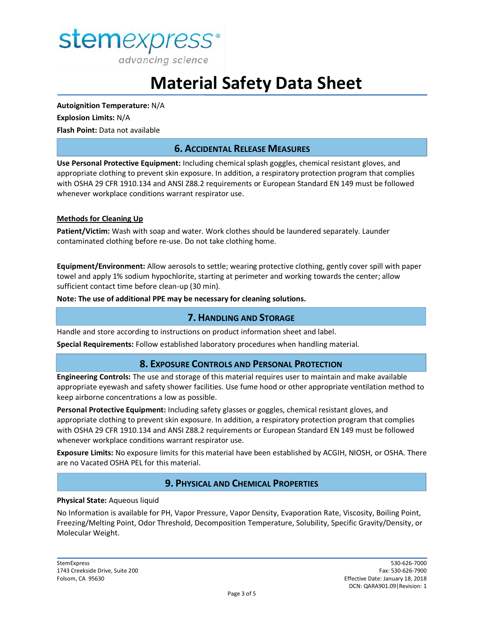

**Autoignition Temperature:** N/A **Explosion Limits:** N/A **Flash Point:** Data not available

### **6. ACCIDENTAL RELEASE MEASURES**

**Use Personal Protective Equipment:** Including chemical splash goggles, chemical resistant gloves, and appropriate clothing to prevent skin exposure. In addition, a respiratory protection program that complies with OSHA 29 CFR 1910.134 and ANSI Z88.2 requirements or European Standard EN 149 must be followed whenever workplace conditions warrant respirator use.

#### **Methods for Cleaning Up**

**Patient/Victim:** Wash with soap and water. Work clothes should be laundered separately. Launder contaminated clothing before re-use. Do not take clothing home.

**Equipment/Environment:** Allow aerosols to settle; wearing protective clothing, gently cover spill with paper towel and apply 1% sodium hypochlorite, starting at perimeter and working towards the center; allow sufficient contact time before clean-up (30 min).

**Note: The use of additional PPE may be necessary for cleaning solutions.**

#### **7. HANDLING AND STORAGE**

Handle and store according to instructions on product information sheet and label.

**Special Requirements:** Follow established laboratory procedures when handling material.

#### **8. EXPOSURE CONTROLS AND PERSONAL PROTECTION**

**Engineering Controls:** The use and storage of this material requires user to maintain and make available appropriate eyewash and safety shower facilities. Use fume hood or other appropriate ventilation method to keep airborne concentrations a low as possible.

**Personal Protective Equipment:** Including safety glasses or goggles, chemical resistant gloves, and appropriate clothing to prevent skin exposure. In addition, a respiratory protection program that complies with OSHA 29 CFR 1910.134 and ANSI Z88.2 requirements or European Standard EN 149 must be followed whenever workplace conditions warrant respirator use.

**Exposure Limits:** No exposure limits for this material have been established by ACGIH, NIOSH, or OSHA. There are no Vacated OSHA PEL for this material.

#### **9. PHYSICAL AND CHEMICAL PROPERTIES**

#### **Physical State:** Aqueous liquid

No Information is available for PH, Vapor Pressure, Vapor Density, Evaporation Rate, Viscosity, Boiling Point, Freezing/Melting Point, Odor Threshold, Decomposition Temperature, Solubility, Specific Gravity/Density, or Molecular Weight.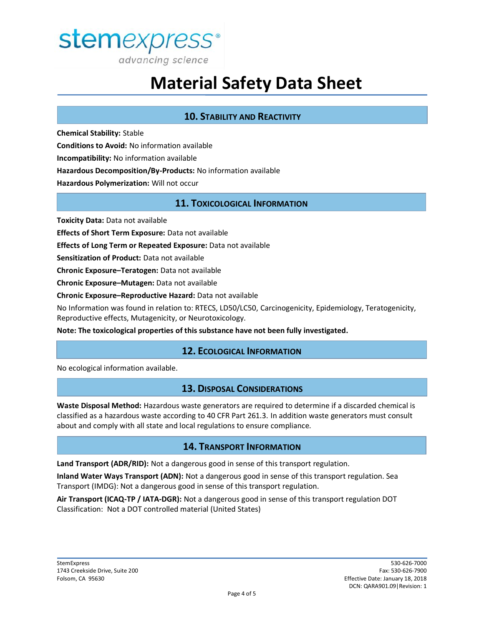

## **10. STABILITY AND REACTIVITY**

**Chemical Stability:** Stable **Conditions to Avoid:** No information available **Incompatibility:** No information available **Hazardous Decomposition/By-Products:** No information available **Hazardous Polymerization:** Will not occur

### **11. TOXICOLOGICAL INFORMATION**

**Toxicity Data:** Data not available

**Effects of Short Term Exposure:** Data not available

**Effects of Long Term or Repeated Exposure:** Data not available

**Sensitization of Product:** Data not available

**Chronic Exposure–Teratogen:** Data not available

**Chronic Exposure–Mutagen:** Data not available

**Chronic Exposure–Reproductive Hazard:** Data not available

No Information was found in relation to: RTECS, LD50/LC50, Carcinogenicity, Epidemiology, Teratogenicity, Reproductive effects, Mutagenicity, or Neurotoxicology.

**Note: The toxicological properties of this substance have not been fully investigated.**

#### **12. ECOLOGICAL INFORMATION**

No ecological information available.

#### **13. DISPOSAL CONSIDERATIONS**

**Waste Disposal Method:** Hazardous waste generators are required to determine if a discarded chemical is classified as a hazardous waste according to 40 CFR Part 261.3. In addition waste generators must consult about and comply with all state and local regulations to ensure compliance.

#### **14. TRANSPORT INFORMATION**

**Land Transport (ADR/RID):** Not a dangerous good in sense of this transport regulation.

**Inland Water Ways Transport (ADN):** Not a dangerous good in sense of this transport regulation. Sea Transport (IMDG): Not a dangerous good in sense of this transport regulation.

**Air Transport (ICAQ-TP / IATA-DGR):** Not a dangerous good in sense of this transport regulation DOT Classification: Not a DOT controlled material (United States)